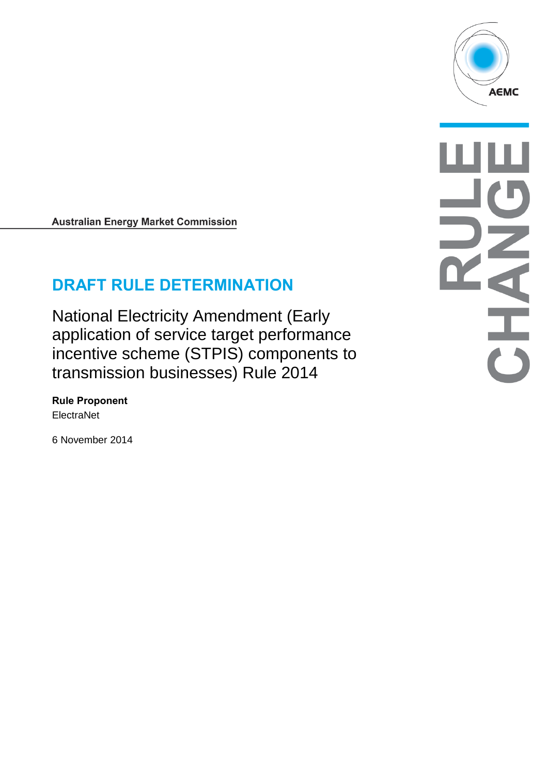

# **DRAFT RULE DETERMINATION**

National Electricity Amendment (Early application of service target performance incentive scheme (STPIS) components to transmission businesses) Rule 2014

**Rule Proponent ElectraNet** 

6 November 2014

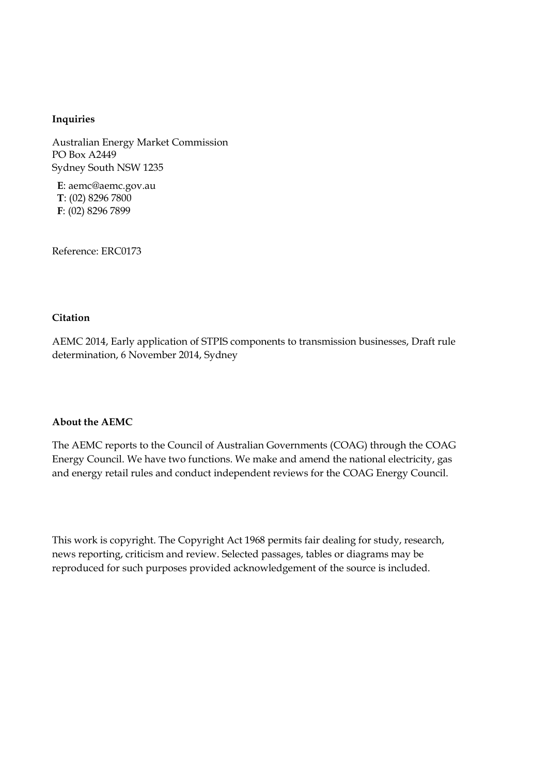#### **Inquiries**

Australian Energy Market Commission PO Box A2449 Sydney South NSW 1235

**E**: aemc@aemc.gov.au **T**: (02) 8296 7800 **F**: (02) 8296 7899

Reference: ERC0173

#### **Citation**

AEMC 2014, Early application of STPIS components to transmission businesses, Draft rule determination, 6 November 2014, Sydney

#### **About the AEMC**

The AEMC reports to the Council of Australian Governments (COAG) through the COAG Energy Council. We have two functions. We make and amend the national electricity, gas and energy retail rules and conduct independent reviews for the COAG Energy Council.

This work is copyright. The Copyright Act 1968 permits fair dealing for study, research, news reporting, criticism and review. Selected passages, tables or diagrams may be reproduced for such purposes provided acknowledgement of the source is included.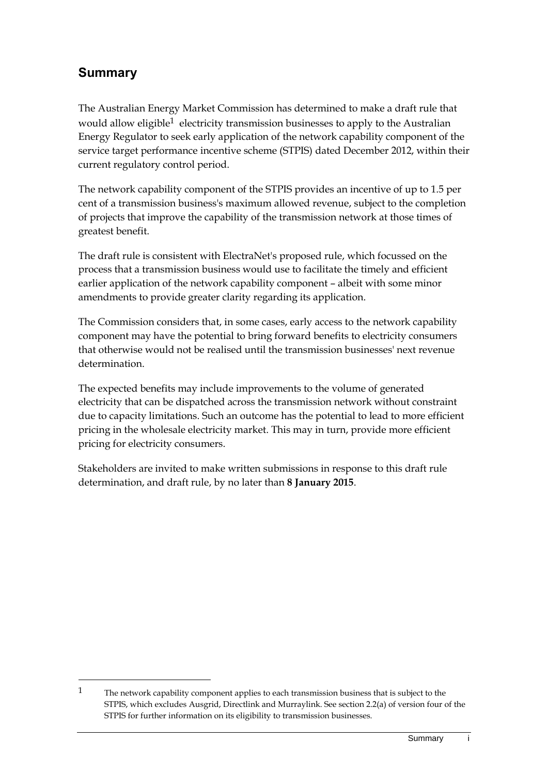## **Summary**

<u>.</u>

The Australian Energy Market Commission has determined to make a draft rule that would allow eligible<sup>1</sup> electricity transmission businesses to apply to the Australian Energy Regulator to seek early application of the network capability component of the service target performance incentive scheme (STPIS) dated December 2012, within their current regulatory control period.

The network capability component of the STPIS provides an incentive of up to 1.5 per cent of a transmission business's maximum allowed revenue, subject to the completion of projects that improve the capability of the transmission network at those times of greatest benefit.

The draft rule is consistent with ElectraNet's proposed rule, which focussed on the process that a transmission business would use to facilitate the timely and efficient earlier application of the network capability component – albeit with some minor amendments to provide greater clarity regarding its application.

The Commission considers that, in some cases, early access to the network capability component may have the potential to bring forward benefits to electricity consumers that otherwise would not be realised until the transmission businesses' next revenue determination.

The expected benefits may include improvements to the volume of generated electricity that can be dispatched across the transmission network without constraint due to capacity limitations. Such an outcome has the potential to lead to more efficient pricing in the wholesale electricity market. This may in turn, provide more efficient pricing for electricity consumers.

Stakeholders are invited to make written submissions in response to this draft rule determination, and draft rule, by no later than **8 January 2015**.

<sup>&</sup>lt;sup>1</sup> The network capability component applies to each transmission business that is subject to the STPIS, which excludes Ausgrid, Directlink and Murraylink. See section 2.2(a) of version four of the STPIS for further information on its eligibility to transmission businesses.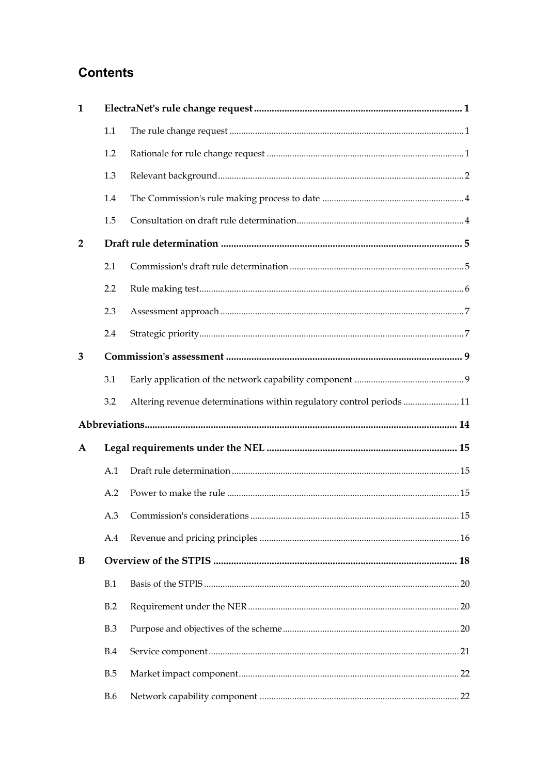## **Contents**

| $\mathbf{1}$   |            |                                                                      |  |  |  |  |  |
|----------------|------------|----------------------------------------------------------------------|--|--|--|--|--|
|                | 1.1        |                                                                      |  |  |  |  |  |
|                | 1.2        |                                                                      |  |  |  |  |  |
|                | 1.3        |                                                                      |  |  |  |  |  |
|                | 1.4        |                                                                      |  |  |  |  |  |
|                | 1.5        |                                                                      |  |  |  |  |  |
| $\overline{2}$ |            |                                                                      |  |  |  |  |  |
|                | 2.1        |                                                                      |  |  |  |  |  |
|                | 2.2        |                                                                      |  |  |  |  |  |
|                | 2.3        |                                                                      |  |  |  |  |  |
|                | 2.4        |                                                                      |  |  |  |  |  |
| 3              |            |                                                                      |  |  |  |  |  |
|                | 3.1        |                                                                      |  |  |  |  |  |
|                | 3.2        | Altering revenue determinations within regulatory control periods 11 |  |  |  |  |  |
|                |            |                                                                      |  |  |  |  |  |
| $\mathbf{A}$   |            |                                                                      |  |  |  |  |  |
|                | A.1        |                                                                      |  |  |  |  |  |
|                | A.2        |                                                                      |  |  |  |  |  |
|                |            |                                                                      |  |  |  |  |  |
|                | A.4        |                                                                      |  |  |  |  |  |
| B              |            |                                                                      |  |  |  |  |  |
|                | B.1        |                                                                      |  |  |  |  |  |
|                | B.2        |                                                                      |  |  |  |  |  |
|                | B.3        |                                                                      |  |  |  |  |  |
|                | <b>B.4</b> |                                                                      |  |  |  |  |  |
|                | B.5        |                                                                      |  |  |  |  |  |
|                | <b>B.6</b> |                                                                      |  |  |  |  |  |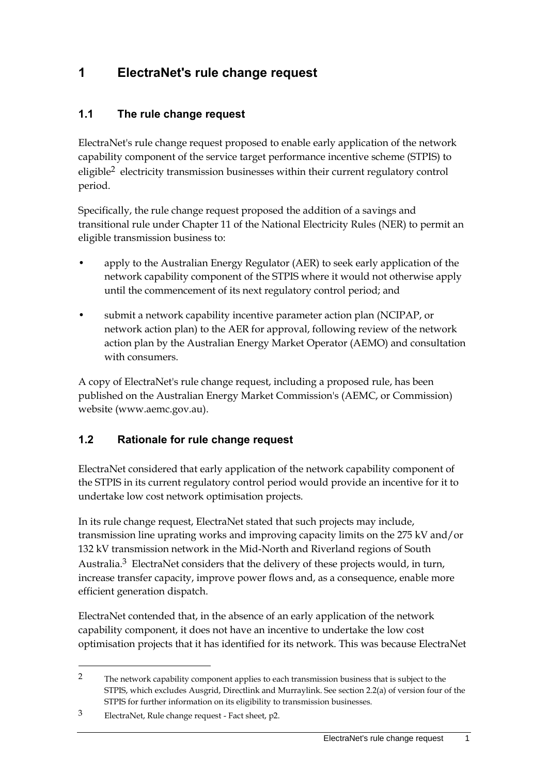## <span id="page-4-0"></span>**1 ElectraNet's rule change request**

#### <span id="page-4-1"></span>**1.1 The rule change request**

ElectraNet's rule change request proposed to enable early application of the network capability component of the service target performance incentive scheme (STPIS) to eligible2 electricity transmission businesses within their current regulatory control period.

Specifically, the rule change request proposed the addition of a savings and transitional rule under Chapter 11 of the National Electricity Rules (NER) to permit an eligible transmission business to:

- apply to the Australian Energy Regulator (AER) to seek early application of the network capability component of the STPIS where it would not otherwise apply until the commencement of its next regulatory control period; and
- submit a network capability incentive parameter action plan (NCIPAP, or network action plan) to the AER for approval, following review of the network action plan by the Australian Energy Market Operator (AEMO) and consultation with consumers.

A copy of ElectraNet's rule change request, including a proposed rule, has been published on the Australian Energy Market Commission's (AEMC, or Commission) website (www.aemc.gov.au).

#### <span id="page-4-2"></span>**1.2 Rationale for rule change request**

ElectraNet considered that early application of the network capability component of the STPIS in its current regulatory control period would provide an incentive for it to undertake low cost network optimisation projects.

In its rule change request, ElectraNet stated that such projects may include, transmission line uprating works and improving capacity limits on the 275 kV and/or 132 kV transmission network in the Mid-North and Riverland regions of South Australia.3 ElectraNet considers that the delivery of these projects would, in turn, increase transfer capacity, improve power flows and, as a consequence, enable more efficient generation dispatch.

ElectraNet contended that, in the absence of an early application of the network capability component, it does not have an incentive to undertake the low cost optimisation projects that it has identified for its network. This was because ElectraNet

<sup>&</sup>lt;sup>2</sup> The network capability component applies to each transmission business that is subject to the STPIS, which excludes Ausgrid, Directlink and Murraylink. See section 2.2(a) of version four of the STPIS for further information on its eligibility to transmission businesses.

<sup>3</sup> ElectraNet, Rule change request - Fact sheet, p2.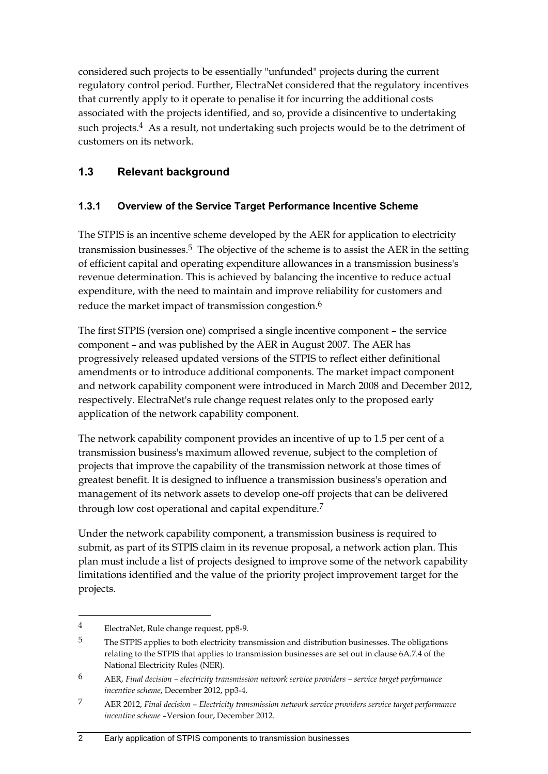considered such projects to be essentially "unfunded" projects during the current regulatory control period. Further, ElectraNet considered that the regulatory incentives that currently apply to it operate to penalise it for incurring the additional costs associated with the projects identified, and so, provide a disincentive to undertaking such projects.<sup>4</sup> As a result, not undertaking such projects would be to the detriment of customers on its network.

#### <span id="page-5-0"></span>**1.3 Relevant background**

#### **1.3.1 Overview of the Service Target Performance Incentive Scheme**

The STPIS is an incentive scheme developed by the AER for application to electricity transmission businesses.<sup>5</sup> The objective of the scheme is to assist the AER in the setting of efficient capital and operating expenditure allowances in a transmission business's revenue determination. This is achieved by balancing the incentive to reduce actual expenditure, with the need to maintain and improve reliability for customers and reduce the market impact of transmission congestion.6

The first STPIS (version one) comprised a single incentive component – the service component – and was published by the AER in August 2007. The AER has progressively released updated versions of the STPIS to reflect either definitional amendments or to introduce additional components. The market impact component and network capability component were introduced in March 2008 and December 2012, respectively. ElectraNet's rule change request relates only to the proposed early application of the network capability component.

The network capability component provides an incentive of up to 1.5 per cent of a transmission business's maximum allowed revenue, subject to the completion of projects that improve the capability of the transmission network at those times of greatest benefit. It is designed to influence a transmission business's operation and management of its network assets to develop one-off projects that can be delivered through low cost operational and capital expenditure.<sup>7</sup>

Under the network capability component, a transmission business is required to submit, as part of its STPIS claim in its revenue proposal, a network action plan. This plan must include a list of projects designed to improve some of the network capability limitations identified and the value of the priority project improvement target for the projects.

<sup>4</sup> ElectraNet, Rule change request, pp8-9.

<sup>5</sup> The STPIS applies to both electricity transmission and distribution businesses. The obligations relating to the STPIS that applies to transmission businesses are set out in clause 6A.7.4 of the National Electricity Rules (NER).

<sup>6</sup> AER, *Final decision – electricity transmission network service providers – service target performance incentive scheme*, December 2012, pp3-4.

<sup>7</sup> AER 2012, *Final decision – Electricity transmission network service providers service target performance incentive scheme* –Version four, December 2012.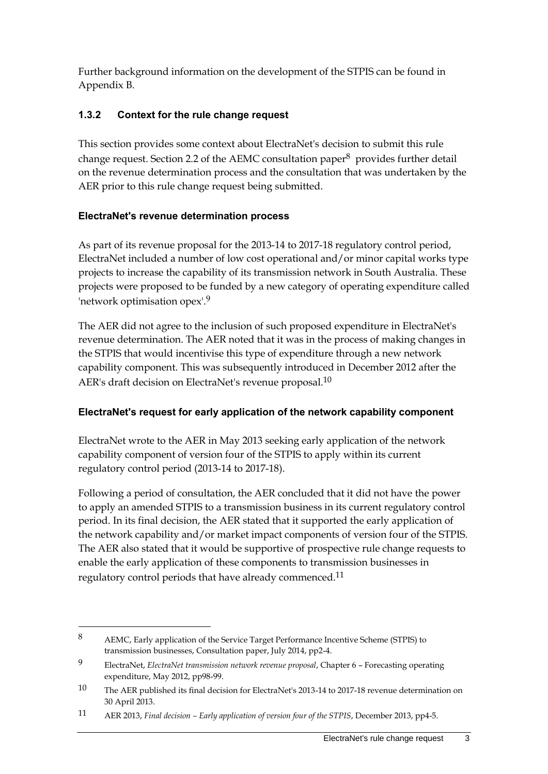Further background information on the development of the STPIS can be found in Appendix B.

#### **1.3.2 Context for the rule change request**

This section provides some context about ElectraNet's decision to submit this rule change request. Section 2.2 of the AEMC consultation paper $8$  provides further detail on the revenue determination process and the consultation that was undertaken by the AER prior to this rule change request being submitted.

#### **ElectraNet's revenue determination process**

As part of its revenue proposal for the 2013-14 to 2017-18 regulatory control period, ElectraNet included a number of low cost operational and/or minor capital works type projects to increase the capability of its transmission network in South Australia. These projects were proposed to be funded by a new category of operating expenditure called 'network optimisation opex'.9

The AER did not agree to the inclusion of such proposed expenditure in ElectraNet's revenue determination. The AER noted that it was in the process of making changes in the STPIS that would incentivise this type of expenditure through a new network capability component. This was subsequently introduced in December 2012 after the AER's draft decision on ElectraNet's revenue proposal.<sup>10</sup>

#### **ElectraNet's request for early application of the network capability component**

ElectraNet wrote to the AER in May 2013 seeking early application of the network capability component of version four of the STPIS to apply within its current regulatory control period (2013-14 to 2017-18).

Following a period of consultation, the AER concluded that it did not have the power to apply an amended STPIS to a transmission business in its current regulatory control period. In its final decision, the AER stated that it supported the early application of the network capability and/or market impact components of version four of the STPIS. The AER also stated that it would be supportive of prospective rule change requests to enable the early application of these components to transmission businesses in regulatory control periods that have already commenced.<sup>11</sup>

<sup>8</sup> AEMC, Early application of the Service Target Performance Incentive Scheme (STPIS) to transmission businesses, Consultation paper, July 2014, pp2-4.

<sup>9</sup> ElectraNet, *ElectraNet transmission network revenue proposal*, Chapter 6 – Forecasting operating expenditure, May 2012, pp98-99.

<sup>10</sup> The AER published its final decision for ElectraNet's 2013-14 to 2017-18 revenue determination on 30 April 2013.

<sup>11</sup> AER 2013, *Final decision – Early application of version four of the STPIS*, December 2013, pp4-5.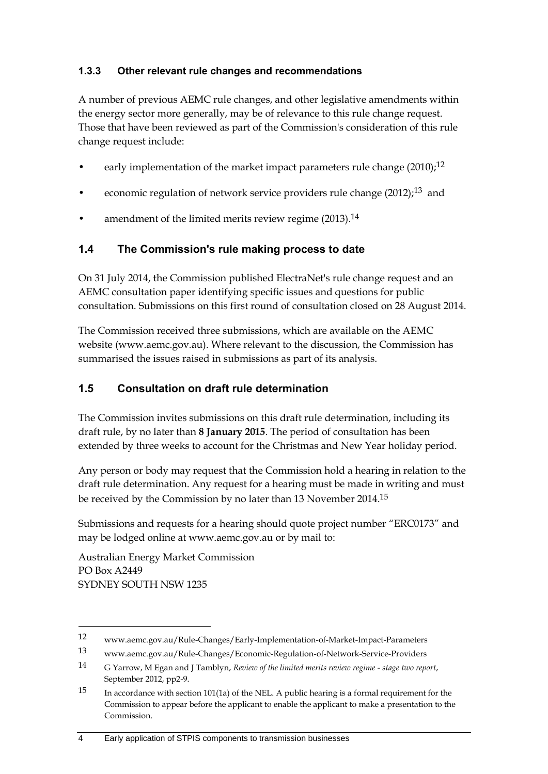#### **1.3.3 Other relevant rule changes and recommendations**

A number of previous AEMC rule changes, and other legislative amendments within the energy sector more generally, may be of relevance to this rule change request. Those that have been reviewed as part of the Commission's consideration of this rule change request include:

- early implementation of the market impact parameters rule change  $(2010)$ ;<sup>12</sup>
- economic regulation of network service providers rule change  $(2012)<sup>13</sup>$  and
- amendment of the limited merits review regime (2013).<sup>14</sup>

#### <span id="page-7-0"></span>**1.4 The Commission's rule making process to date**

On 31 July 2014, the Commission published ElectraNet's rule change request and an AEMC consultation paper identifying specific issues and questions for public consultation. Submissions on this first round of consultation closed on 28 August 2014.

The Commission received three submissions, which are available on the AEMC website (www.aemc.gov.au). Where relevant to the discussion, the Commission has summarised the issues raised in submissions as part of its analysis.

#### <span id="page-7-1"></span>**1.5 Consultation on draft rule determination**

The Commission invites submissions on this draft rule determination, including its draft rule, by no later than **8 January 2015**. The period of consultation has been extended by three weeks to account for the Christmas and New Year holiday period.

Any person or body may request that the Commission hold a hearing in relation to the draft rule determination. Any request for a hearing must be made in writing and must be received by the Commission by no later than 13 November 2014.15

Submissions and requests for a hearing should quote project number "ERC0173" and may be lodged online at www.aemc.gov.au or by mail to:

Australian Energy Market Commission PO Box A2449 SYDNEY SOUTH NSW 1235

<u>.</u>

#### 4 Early application of STPIS components to transmission businesses

<sup>12</sup> www.aemc.gov.au/Rule-Changes/Early-Implementation-of-Market-Impact-Parameters

<sup>13</sup> www.aemc.gov.au/Rule-Changes/Economic-Regulation-of-Network-Service-Providers

<sup>14</sup> G Yarrow, M Egan and J Tamblyn, *Review of the limited merits review regime - stage two report*, September 2012, pp2-9.

<sup>15</sup> In accordance with section 101(1a) of the NEL. A public hearing is a formal requirement for the Commission to appear before the applicant to enable the applicant to make a presentation to the Commission.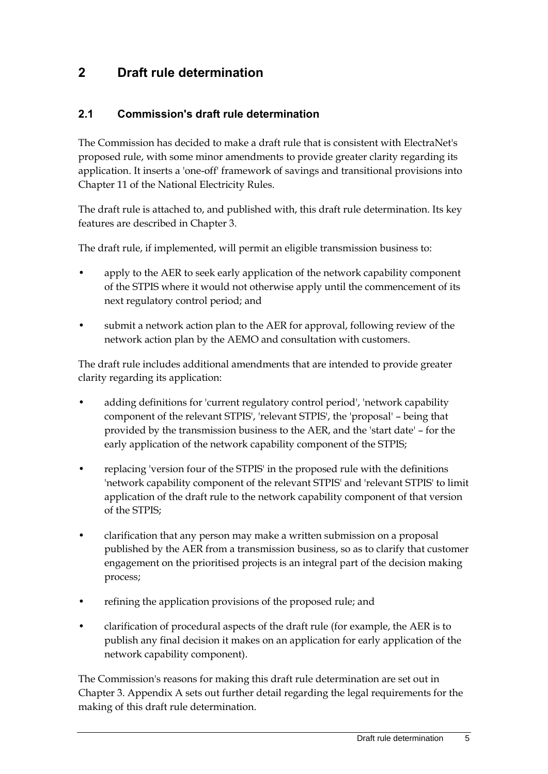### <span id="page-8-0"></span>**2 Draft rule determination**

#### <span id="page-8-1"></span>**2.1 Commission's draft rule determination**

The Commission has decided to make a draft rule that is consistent with ElectraNet's proposed rule, with some minor amendments to provide greater clarity regarding its application. It inserts a 'one-off' framework of savings and transitional provisions into Chapter 11 of the National Electricity Rules.

The draft rule is attached to, and published with, this draft rule determination. Its key features are described in Chapter 3.

The draft rule, if implemented, will permit an eligible transmission business to:

- apply to the AER to seek early application of the network capability component of the STPIS where it would not otherwise apply until the commencement of its next regulatory control period; and
- submit a network action plan to the AER for approval, following review of the network action plan by the AEMO and consultation with customers.

The draft rule includes additional amendments that are intended to provide greater clarity regarding its application:

- adding definitions for 'current regulatory control period', 'network capability component of the relevant STPIS', 'relevant STPIS', the 'proposal' – being that provided by the transmission business to the AER, and the 'start date' – for the early application of the network capability component of the STPIS;
- replacing 'version four of the STPIS' in the proposed rule with the definitions 'network capability component of the relevant STPIS' and 'relevant STPIS' to limit application of the draft rule to the network capability component of that version of the STPIS;
- clarification that any person may make a written submission on a proposal published by the AER from a transmission business, so as to clarify that customer engagement on the prioritised projects is an integral part of the decision making process;
- refining the application provisions of the proposed rule; and
- clarification of procedural aspects of the draft rule (for example, the AER is to publish any final decision it makes on an application for early application of the network capability component).

The Commission's reasons for making this draft rule determination are set out in Chapter 3. Appendix A sets out further detail regarding the legal requirements for the making of this draft rule determination.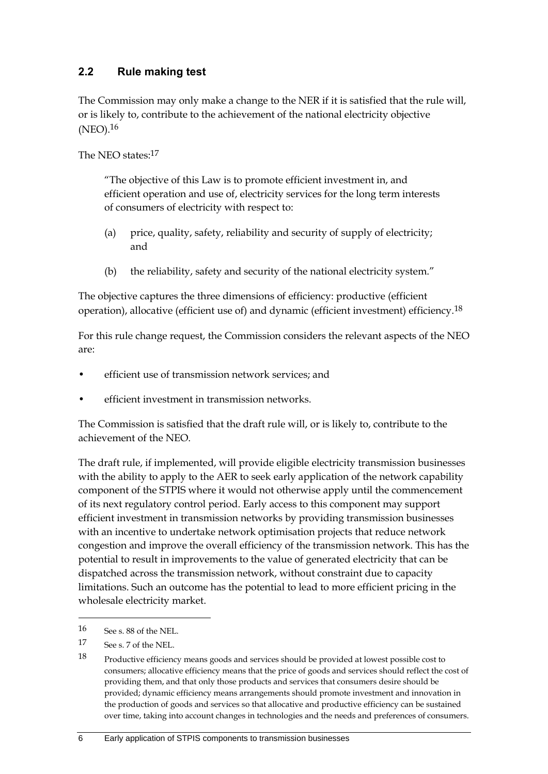#### <span id="page-9-0"></span>**2.2 Rule making test**

The Commission may only make a change to the NER if it is satisfied that the rule will, or is likely to, contribute to the achievement of the national electricity objective (NEO).16

The NEO states:17

"The objective of this Law is to promote efficient investment in, and efficient operation and use of, electricity services for the long term interests of consumers of electricity with respect to:

- (a) price, quality, safety, reliability and security of supply of electricity; and
- (b) the reliability, safety and security of the national electricity system."

The objective captures the three dimensions of efficiency: productive (efficient operation), allocative (efficient use of) and dynamic (efficient investment) efficiency.<sup>18</sup>

For this rule change request, the Commission considers the relevant aspects of the NEO are:

- efficient use of transmission network services; and
- efficient investment in transmission networks.

The Commission is satisfied that the draft rule will, or is likely to, contribute to the achievement of the NEO.

The draft rule, if implemented, will provide eligible electricity transmission businesses with the ability to apply to the AER to seek early application of the network capability component of the STPIS where it would not otherwise apply until the commencement of its next regulatory control period. Early access to this component may support efficient investment in transmission networks by providing transmission businesses with an incentive to undertake network optimisation projects that reduce network congestion and improve the overall efficiency of the transmission network. This has the potential to result in improvements to the value of generated electricity that can be dispatched across the transmission network, without constraint due to capacity limitations. Such an outcome has the potential to lead to more efficient pricing in the wholesale electricity market.

<sup>16</sup> See s. 88 of the NEL.

<sup>17</sup> See s. 7 of the NEL.

<sup>18</sup> Productive efficiency means goods and services should be provided at lowest possible cost to consumers; allocative efficiency means that the price of goods and services should reflect the cost of providing them, and that only those products and services that consumers desire should be provided; dynamic efficiency means arrangements should promote investment and innovation in the production of goods and services so that allocative and productive efficiency can be sustained over time, taking into account changes in technologies and the needs and preferences of consumers.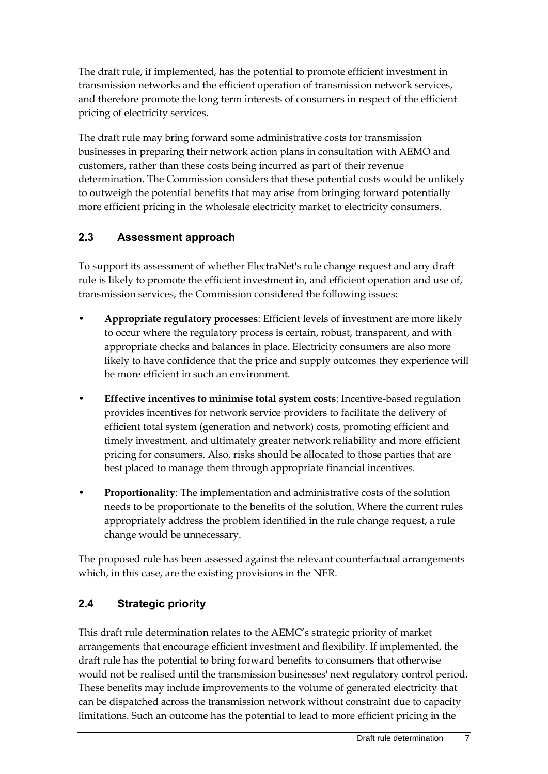The draft rule, if implemented, has the potential to promote efficient investment in transmission networks and the efficient operation of transmission network services, and therefore promote the long term interests of consumers in respect of the efficient pricing of electricity services.

The draft rule may bring forward some administrative costs for transmission businesses in preparing their network action plans in consultation with AEMO and customers, rather than these costs being incurred as part of their revenue determination. The Commission considers that these potential costs would be unlikely to outweigh the potential benefits that may arise from bringing forward potentially more efficient pricing in the wholesale electricity market to electricity consumers.

### <span id="page-10-0"></span>**2.3 Assessment approach**

To support its assessment of whether ElectraNet's rule change request and any draft rule is likely to promote the efficient investment in, and efficient operation and use of, transmission services, the Commission considered the following issues:

- **Appropriate regulatory processes**: Efficient levels of investment are more likely to occur where the regulatory process is certain, robust, transparent, and with appropriate checks and balances in place. Electricity consumers are also more likely to have confidence that the price and supply outcomes they experience will be more efficient in such an environment.
- **Effective incentives to minimise total system costs**: Incentive-based regulation provides incentives for network service providers to facilitate the delivery of efficient total system (generation and network) costs, promoting efficient and timely investment, and ultimately greater network reliability and more efficient pricing for consumers. Also, risks should be allocated to those parties that are best placed to manage them through appropriate financial incentives.
- **Proportionality**: The implementation and administrative costs of the solution needs to be proportionate to the benefits of the solution. Where the current rules appropriately address the problem identified in the rule change request, a rule change would be unnecessary.

The proposed rule has been assessed against the relevant counterfactual arrangements which, in this case, are the existing provisions in the NER.

### <span id="page-10-1"></span>**2.4 Strategic priority**

This draft rule determination relates to the AEMC's strategic priority of market arrangements that encourage efficient investment and flexibility. If implemented, the draft rule has the potential to bring forward benefits to consumers that otherwise would not be realised until the transmission businesses' next regulatory control period. These benefits may include improvements to the volume of generated electricity that can be dispatched across the transmission network without constraint due to capacity limitations. Such an outcome has the potential to lead to more efficient pricing in the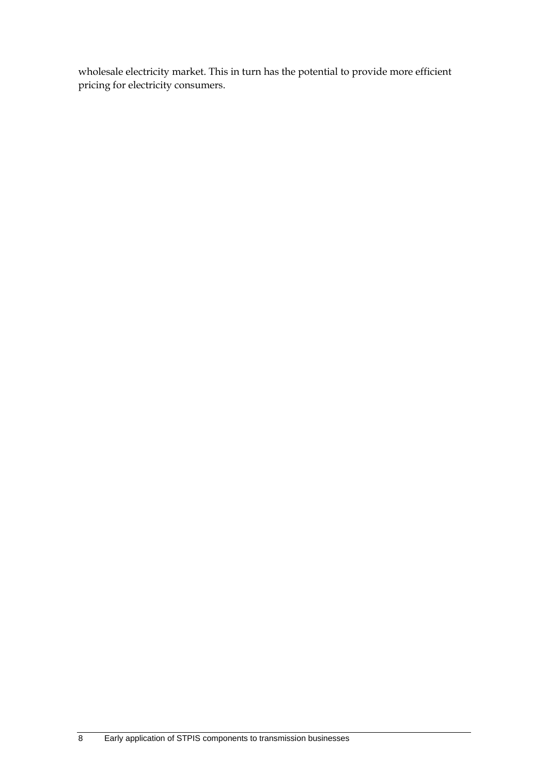wholesale electricity market. This in turn has the potential to provide more efficient pricing for electricity consumers.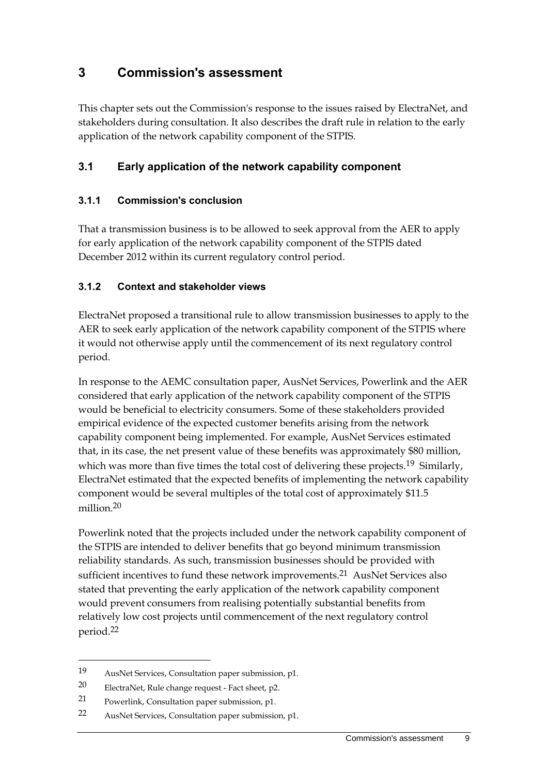### <span id="page-12-0"></span>**3 Commission's assessment**

This chapter sets out the Commission's response to the issues raised by ElectraNet, and stakeholders during consultation. It also describes the draft rule in relation to the early application of the network capability component of the STPIS.

#### <span id="page-12-1"></span>**3.1 Early application of the network capability component**

#### **3.1.1 Commission's conclusion**

That a transmission business is to be allowed to seek approval from the AER to apply for early application of the network capability component of the STPIS dated December 2012 within its current regulatory control period.

#### **3.1.2 Context and stakeholder views**

ElectraNet proposed a transitional rule to allow transmission businesses to apply to the AER to seek early application of the network capability component of the STPIS where it would not otherwise apply until the commencement of its next regulatory control period.

In response to the AEMC consultation paper, AusNet Services, Powerlink and the AER considered that early application of the network capability component of the STPIS would be beneficial to electricity consumers. Some of these stakeholders provided empirical evidence of the expected customer benefits arising from the network capability component being implemented. For example, AusNet Services estimated that, in its case, the net present value of these benefits was approximately \$80 million, which was more than five times the total cost of delivering these projects.<sup>19</sup> Similarly, ElectraNet estimated that the expected benefits of implementing the network capability component would be several multiples of the total cost of approximately \$11.5 million.20

Powerlink noted that the projects included under the network capability component of the STPIS are intended to deliver benefits that go beyond minimum transmission reliability standards. As such, transmission businesses should be provided with sufficient incentives to fund these network improvements.<sup>21</sup> AusNet Services also stated that preventing the early application of the network capability component would prevent consumers from realising potentially substantial benefits from relatively low cost projects until commencement of the next regulatory control period.22

<sup>19</sup> AusNet Services, Consultation paper submission, p1.

<sup>20</sup> ElectraNet, Rule change request - Fact sheet, p2.

<sup>21</sup> Powerlink, Consultation paper submission, p1.

<sup>22</sup> AusNet Services, Consultation paper submission, p1.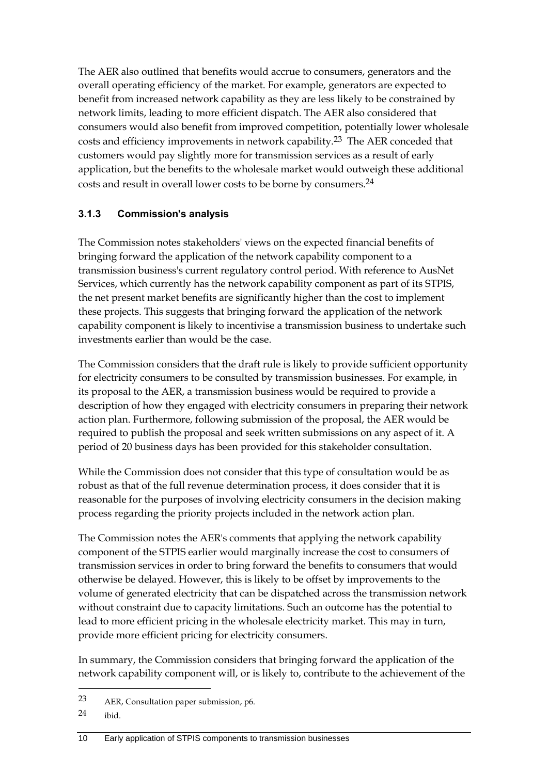The AER also outlined that benefits would accrue to consumers, generators and the overall operating efficiency of the market. For example, generators are expected to benefit from increased network capability as they are less likely to be constrained by network limits, leading to more efficient dispatch. The AER also considered that consumers would also benefit from improved competition, potentially lower wholesale costs and efficiency improvements in network capability.23 The AER conceded that customers would pay slightly more for transmission services as a result of early application, but the benefits to the wholesale market would outweigh these additional costs and result in overall lower costs to be borne by consumers.24

#### **3.1.3 Commission's analysis**

The Commission notes stakeholders' views on the expected financial benefits of bringing forward the application of the network capability component to a transmission business's current regulatory control period. With reference to AusNet Services, which currently has the network capability component as part of its STPIS, the net present market benefits are significantly higher than the cost to implement these projects. This suggests that bringing forward the application of the network capability component is likely to incentivise a transmission business to undertake such investments earlier than would be the case.

The Commission considers that the draft rule is likely to provide sufficient opportunity for electricity consumers to be consulted by transmission businesses. For example, in its proposal to the AER, a transmission business would be required to provide a description of how they engaged with electricity consumers in preparing their network action plan. Furthermore, following submission of the proposal, the AER would be required to publish the proposal and seek written submissions on any aspect of it. A period of 20 business days has been provided for this stakeholder consultation.

While the Commission does not consider that this type of consultation would be as robust as that of the full revenue determination process, it does consider that it is reasonable for the purposes of involving electricity consumers in the decision making process regarding the priority projects included in the network action plan.

The Commission notes the AER's comments that applying the network capability component of the STPIS earlier would marginally increase the cost to consumers of transmission services in order to bring forward the benefits to consumers that would otherwise be delayed. However, this is likely to be offset by improvements to the volume of generated electricity that can be dispatched across the transmission network without constraint due to capacity limitations. Such an outcome has the potential to lead to more efficient pricing in the wholesale electricity market. This may in turn, provide more efficient pricing for electricity consumers.

In summary, the Commission considers that bringing forward the application of the network capability component will, or is likely to, contribute to the achievement of the

1

<sup>23</sup> AER, Consultation paper submission, p6.

<sup>24</sup> ibid.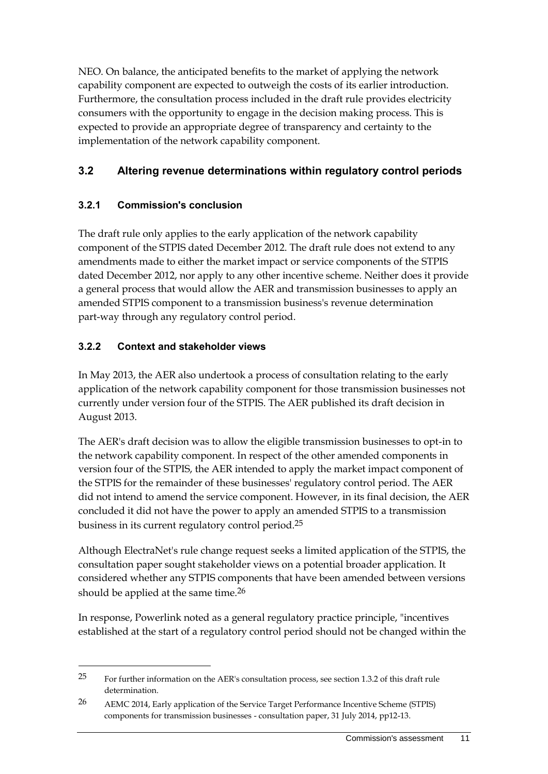NEO. On balance, the anticipated benefits to the market of applying the network capability component are expected to outweigh the costs of its earlier introduction. Furthermore, the consultation process included in the draft rule provides electricity consumers with the opportunity to engage in the decision making process. This is expected to provide an appropriate degree of transparency and certainty to the implementation of the network capability component.

#### <span id="page-14-0"></span>**3.2 Altering revenue determinations within regulatory control periods**

#### **3.2.1 Commission's conclusion**

The draft rule only applies to the early application of the network capability component of the STPIS dated December 2012. The draft rule does not extend to any amendments made to either the market impact or service components of the STPIS dated December 2012, nor apply to any other incentive scheme. Neither does it provide a general process that would allow the AER and transmission businesses to apply an amended STPIS component to a transmission business's revenue determination part-way through any regulatory control period.

#### **3.2.2 Context and stakeholder views**

<u>.</u>

In May 2013, the AER also undertook a process of consultation relating to the early application of the network capability component for those transmission businesses not currently under version four of the STPIS. The AER published its draft decision in August 2013.

The AER's draft decision was to allow the eligible transmission businesses to opt-in to the network capability component. In respect of the other amended components in version four of the STPIS, the AER intended to apply the market impact component of the STPIS for the remainder of these businesses' regulatory control period. The AER did not intend to amend the service component. However, in its final decision, the AER concluded it did not have the power to apply an amended STPIS to a transmission business in its current regulatory control period.25

Although ElectraNet's rule change request seeks a limited application of the STPIS, the consultation paper sought stakeholder views on a potential broader application. It considered whether any STPIS components that have been amended between versions should be applied at the same time.<sup>26</sup>

In response, Powerlink noted as a general regulatory practice principle, "incentives established at the start of a regulatory control period should not be changed within the

<sup>25</sup> For further information on the AER's consultation process, see section 1.3.2 of this draft rule determination.

<sup>26</sup> AEMC 2014, Early application of the Service Target Performance Incentive Scheme (STPIS) components for transmission businesses - consultation paper, 31 July 2014, pp12-13.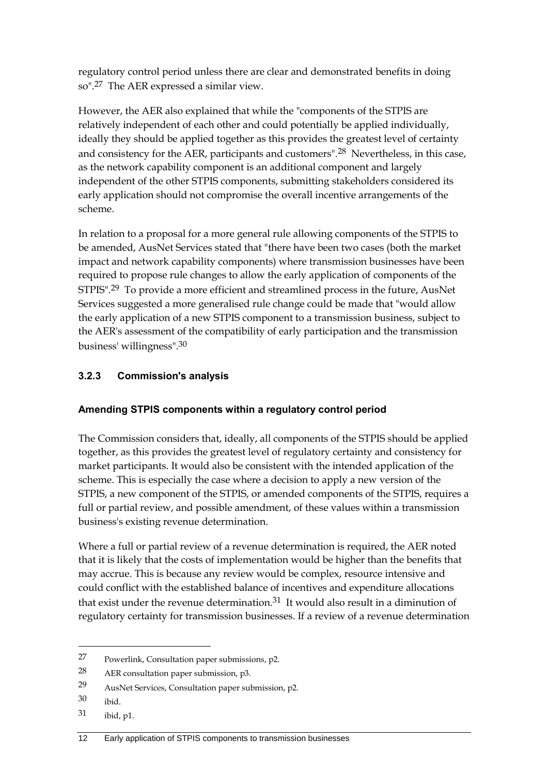regulatory control period unless there are clear and demonstrated benefits in doing so".27 The AER expressed a similar view.

However, the AER also explained that while the "components of the STPIS are relatively independent of each other and could potentially be applied individually, ideally they should be applied together as this provides the greatest level of certainty and consistency for the AER, participants and customers".<sup>28</sup> Nevertheless, in this case, as the network capability component is an additional component and largely independent of the other STPIS components, submitting stakeholders considered its early application should not compromise the overall incentive arrangements of the scheme.

In relation to a proposal for a more general rule allowing components of the STPIS to be amended, AusNet Services stated that "there have been two cases (both the market impact and network capability components) where transmission businesses have been required to propose rule changes to allow the early application of components of the STPIS".29 To provide a more efficient and streamlined process in the future, AusNet Services suggested a more generalised rule change could be made that "would allow the early application of a new STPIS component to a transmission business, subject to the AER's assessment of the compatibility of early participation and the transmission business' willingness".30

#### **3.2.3 Commission's analysis**

#### **Amending STPIS components within a regulatory control period**

The Commission considers that, ideally, all components of the STPIS should be applied together, as this provides the greatest level of regulatory certainty and consistency for market participants. It would also be consistent with the intended application of the scheme. This is especially the case where a decision to apply a new version of the STPIS, a new component of the STPIS, or amended components of the STPIS, requires a full or partial review, and possible amendment, of these values within a transmission business's existing revenue determination.

Where a full or partial review of a revenue determination is required, the AER noted that it is likely that the costs of implementation would be higher than the benefits that may accrue. This is because any review would be complex, resource intensive and could conflict with the established balance of incentives and expenditure allocations that exist under the revenue determination.31 It would also result in a diminution of regulatory certainty for transmission businesses. If a review of a revenue determination

1

<sup>27</sup> Powerlink, Consultation paper submissions, p2.

<sup>28</sup> AER consultation paper submission, p3.

<sup>29</sup> AusNet Services, Consultation paper submission, p2.

<sup>30</sup> ibid.

<sup>31</sup> ibid, p1.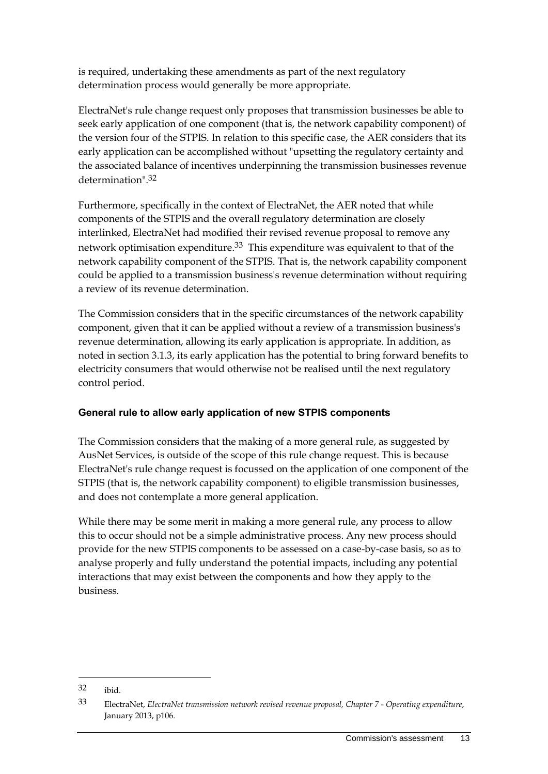is required, undertaking these amendments as part of the next regulatory determination process would generally be more appropriate.

ElectraNet's rule change request only proposes that transmission businesses be able to seek early application of one component (that is, the network capability component) of the version four of the STPIS. In relation to this specific case, the AER considers that its early application can be accomplished without "upsetting the regulatory certainty and the associated balance of incentives underpinning the transmission businesses revenue determination".32

Furthermore, specifically in the context of ElectraNet, the AER noted that while components of the STPIS and the overall regulatory determination are closely interlinked, ElectraNet had modified their revised revenue proposal to remove any network optimisation expenditure.33 This expenditure was equivalent to that of the network capability component of the STPIS. That is, the network capability component could be applied to a transmission business's revenue determination without requiring a review of its revenue determination.

The Commission considers that in the specific circumstances of the network capability component, given that it can be applied without a review of a transmission business's revenue determination, allowing its early application is appropriate. In addition, as noted in section 3.1.3, its early application has the potential to bring forward benefits to electricity consumers that would otherwise not be realised until the next regulatory control period.

#### **General rule to allow early application of new STPIS components**

The Commission considers that the making of a more general rule, as suggested by AusNet Services, is outside of the scope of this rule change request. This is because ElectraNet's rule change request is focussed on the application of one component of the STPIS (that is, the network capability component) to eligible transmission businesses, and does not contemplate a more general application.

While there may be some merit in making a more general rule, any process to allow this to occur should not be a simple administrative process. Any new process should provide for the new STPIS components to be assessed on a case-by-case basis, so as to analyse properly and fully understand the potential impacts, including any potential interactions that may exist between the components and how they apply to the business.

<sup>32</sup> ibid.

<sup>33</sup> ElectraNet, *ElectraNet transmission network revised revenue proposal, Chapter 7 - Operating expenditure*, January 2013, p106.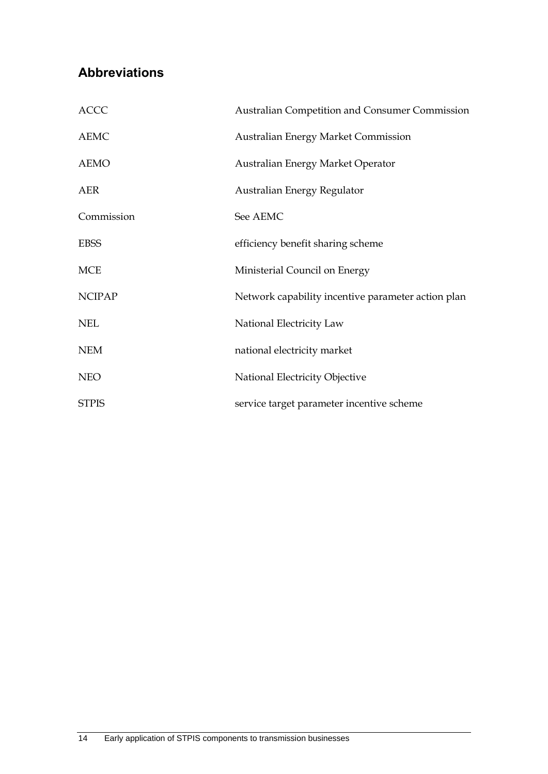## <span id="page-17-0"></span>**Abbreviations**

| <b>ACCC</b>   | Australian Competition and Consumer Commission     |
|---------------|----------------------------------------------------|
| <b>AEMC</b>   | <b>Australian Energy Market Commission</b>         |
| <b>AEMO</b>   | Australian Energy Market Operator                  |
| <b>AER</b>    | Australian Energy Regulator                        |
| Commission    | See AEMC                                           |
| <b>EBSS</b>   | efficiency benefit sharing scheme                  |
| <b>MCE</b>    | Ministerial Council on Energy                      |
| <b>NCIPAP</b> | Network capability incentive parameter action plan |
| <b>NEL</b>    | National Electricity Law                           |
| <b>NEM</b>    | national electricity market                        |
| <b>NEO</b>    | National Electricity Objective                     |
| <b>STPIS</b>  | service target parameter incentive scheme          |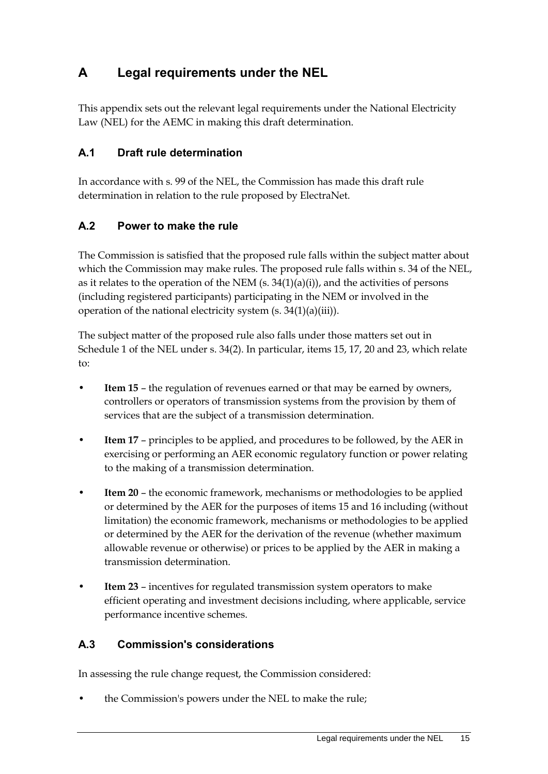## <span id="page-18-0"></span>**A Legal requirements under the NEL**

This appendix sets out the relevant legal requirements under the National Electricity Law (NEL) for the AEMC in making this draft determination.

#### <span id="page-18-1"></span>**A.1 Draft rule determination**

In accordance with s. 99 of the NEL, the Commission has made this draft rule determination in relation to the rule proposed by ElectraNet.

#### <span id="page-18-2"></span>**A.2 Power to make the rule**

The Commission is satisfied that the proposed rule falls within the subject matter about which the Commission may make rules. The proposed rule falls within s. 34 of the NEL, as it relates to the operation of the NEM  $(s. 34(1)(a)(i))$ , and the activities of persons (including registered participants) participating in the NEM or involved in the operation of the national electricity system (s. 34(1)(a)(iii)).

The subject matter of the proposed rule also falls under those matters set out in Schedule 1 of the NEL under s. 34(2). In particular, items 15, 17, 20 and 23, which relate to:

- **Item 15** the regulation of revenues earned or that may be earned by owners, controllers or operators of transmission systems from the provision by them of services that are the subject of a transmission determination.
- **Item 17** principles to be applied, and procedures to be followed, by the AER in exercising or performing an AER economic regulatory function or power relating to the making of a transmission determination.
- **Item 20** the economic framework, mechanisms or methodologies to be applied or determined by the AER for the purposes of items 15 and 16 including (without limitation) the economic framework, mechanisms or methodologies to be applied or determined by the AER for the derivation of the revenue (whether maximum allowable revenue or otherwise) or prices to be applied by the AER in making a transmission determination.
- **Item 23** incentives for regulated transmission system operators to make efficient operating and investment decisions including, where applicable, service performance incentive schemes.

#### <span id="page-18-3"></span>**A.3 Commission's considerations**

In assessing the rule change request, the Commission considered:

• the Commission's powers under the NEL to make the rule;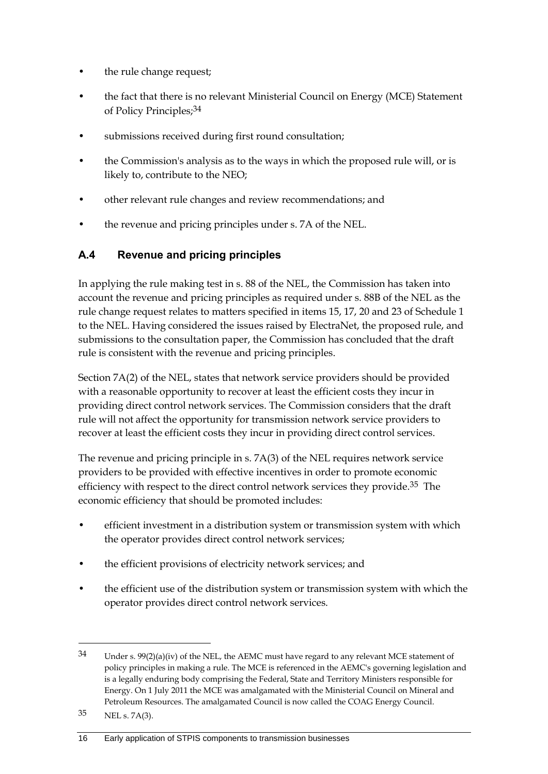- the rule change request;
- the fact that there is no relevant Ministerial Council on Energy (MCE) Statement of Policy Principles;34
- submissions received during first round consultation;
- the Commission's analysis as to the ways in which the proposed rule will, or is likely to, contribute to the NEO;
- other relevant rule changes and review recommendations; and
- the revenue and pricing principles under s. 7A of the NEL.

#### <span id="page-19-0"></span>**A.4 Revenue and pricing principles**

In applying the rule making test in s. 88 of the NEL, the Commission has taken into account the revenue and pricing principles as required under s. 88B of the NEL as the rule change request relates to matters specified in items 15, 17, 20 and 23 of Schedule 1 to the NEL. Having considered the issues raised by ElectraNet, the proposed rule, and submissions to the consultation paper, the Commission has concluded that the draft rule is consistent with the revenue and pricing principles.

Section 7A(2) of the NEL, states that network service providers should be provided with a reasonable opportunity to recover at least the efficient costs they incur in providing direct control network services. The Commission considers that the draft rule will not affect the opportunity for transmission network service providers to recover at least the efficient costs they incur in providing direct control services.

The revenue and pricing principle in s. 7A(3) of the NEL requires network service providers to be provided with effective incentives in order to promote economic efficiency with respect to the direct control network services they provide.<sup>35</sup> The economic efficiency that should be promoted includes:

- efficient investment in a distribution system or transmission system with which the operator provides direct control network services;
- the efficient provisions of electricity network services; and
- the efficient use of the distribution system or transmission system with which the operator provides direct control network services.

1

 $34$  Under s.  $99(2)(a)(iv)$  of the NEL, the AEMC must have regard to any relevant MCE statement of policy principles in making a rule. The MCE is referenced in the AEMC's governing legislation and is a legally enduring body comprising the Federal, State and Territory Ministers responsible for Energy. On 1 July 2011 the MCE was amalgamated with the Ministerial Council on Mineral and Petroleum Resources. The amalgamated Council is now called the COAG Energy Council.

<sup>35</sup> NEL s. 7A(3).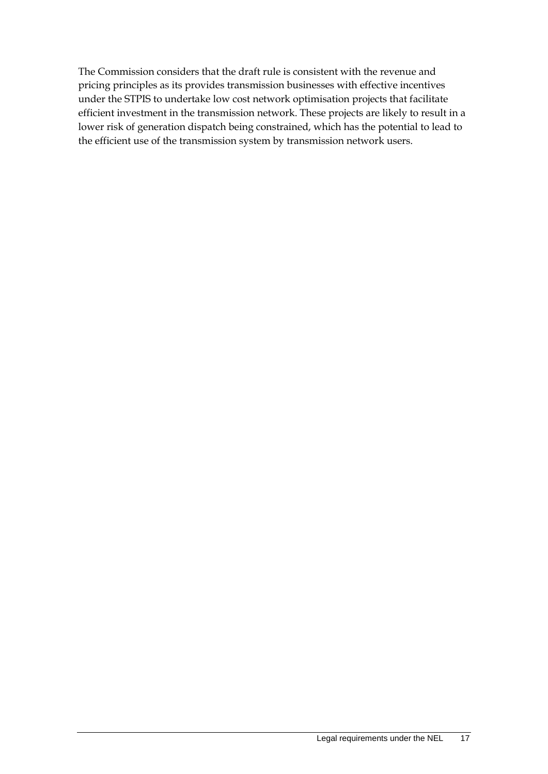The Commission considers that the draft rule is consistent with the revenue and pricing principles as its provides transmission businesses with effective incentives under the STPIS to undertake low cost network optimisation projects that facilitate efficient investment in the transmission network. These projects are likely to result in a lower risk of generation dispatch being constrained, which has the potential to lead to the efficient use of the transmission system by transmission network users.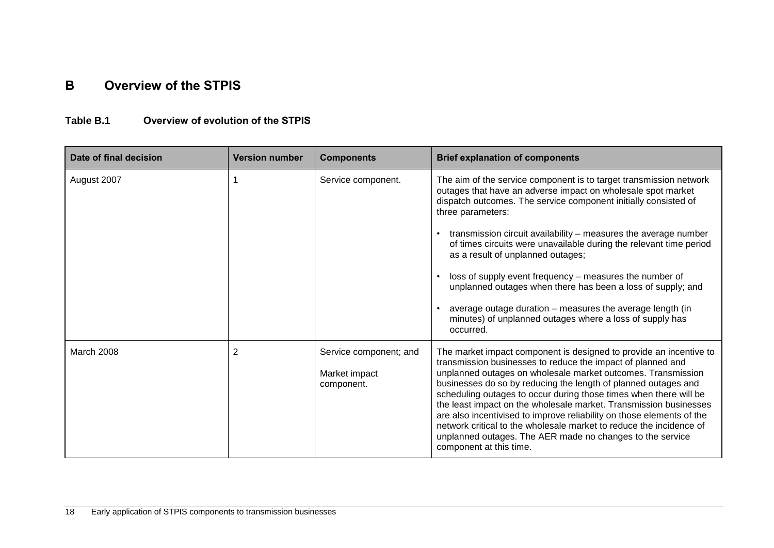### **B Overview of the STPIS**

#### **Table B.1 Overview of evolution of the STPIS**

<span id="page-21-0"></span>

| Date of final decision | <b>Version number</b> | <b>Components</b>                                     | <b>Brief explanation of components</b>                                                                                                                                                                                                                                                                                                                                                                                                                                                                                                                                                                                                                |
|------------------------|-----------------------|-------------------------------------------------------|-------------------------------------------------------------------------------------------------------------------------------------------------------------------------------------------------------------------------------------------------------------------------------------------------------------------------------------------------------------------------------------------------------------------------------------------------------------------------------------------------------------------------------------------------------------------------------------------------------------------------------------------------------|
| August 2007            |                       | Service component.                                    | The aim of the service component is to target transmission network<br>outages that have an adverse impact on wholesale spot market<br>dispatch outcomes. The service component initially consisted of<br>three parameters:                                                                                                                                                                                                                                                                                                                                                                                                                            |
|                        |                       |                                                       | transmission circuit availability - measures the average number<br>of times circuits were unavailable during the relevant time period<br>as a result of unplanned outages;                                                                                                                                                                                                                                                                                                                                                                                                                                                                            |
|                        |                       |                                                       | loss of supply event frequency - measures the number of<br>unplanned outages when there has been a loss of supply; and                                                                                                                                                                                                                                                                                                                                                                                                                                                                                                                                |
|                        |                       |                                                       | average outage duration - measures the average length (in<br>minutes) of unplanned outages where a loss of supply has<br>occurred.                                                                                                                                                                                                                                                                                                                                                                                                                                                                                                                    |
| March 2008             | 2                     | Service component; and<br>Market impact<br>component. | The market impact component is designed to provide an incentive to<br>transmission businesses to reduce the impact of planned and<br>unplanned outages on wholesale market outcomes. Transmission<br>businesses do so by reducing the length of planned outages and<br>scheduling outages to occur during those times when there will be<br>the least impact on the wholesale market. Transmission businesses<br>are also incentivised to improve reliability on those elements of the<br>network critical to the wholesale market to reduce the incidence of<br>unplanned outages. The AER made no changes to the service<br>component at this time. |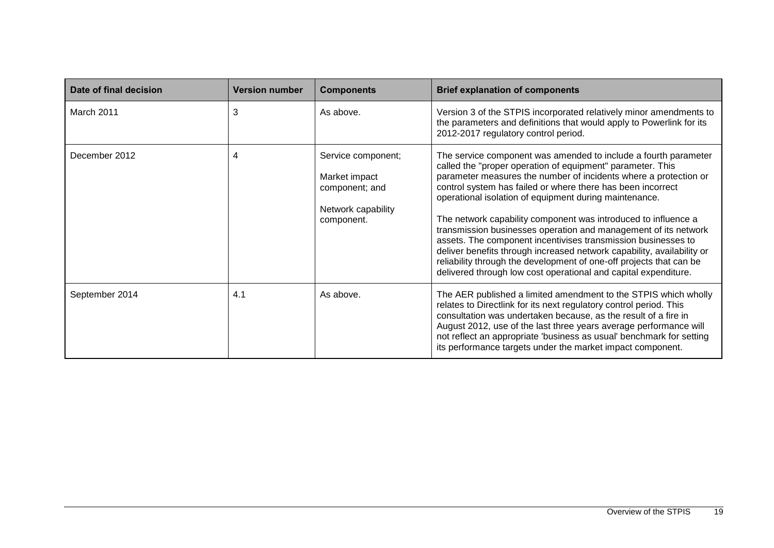| Date of final decision | <b>Version number</b> | <b>Components</b>                                                                         | <b>Brief explanation of components</b>                                                                                                                                                                                                                                                                                                                                                                                                                                                                                                                                                                                                                                                                                                               |
|------------------------|-----------------------|-------------------------------------------------------------------------------------------|------------------------------------------------------------------------------------------------------------------------------------------------------------------------------------------------------------------------------------------------------------------------------------------------------------------------------------------------------------------------------------------------------------------------------------------------------------------------------------------------------------------------------------------------------------------------------------------------------------------------------------------------------------------------------------------------------------------------------------------------------|
| March 2011             | 3                     | As above.                                                                                 | Version 3 of the STPIS incorporated relatively minor amendments to<br>the parameters and definitions that would apply to Powerlink for its<br>2012-2017 regulatory control period.                                                                                                                                                                                                                                                                                                                                                                                                                                                                                                                                                                   |
| December 2012          | 4                     | Service component;<br>Market impact<br>component; and<br>Network capability<br>component. | The service component was amended to include a fourth parameter<br>called the "proper operation of equipment" parameter. This<br>parameter measures the number of incidents where a protection or<br>control system has failed or where there has been incorrect<br>operational isolation of equipment during maintenance.<br>The network capability component was introduced to influence a<br>transmission businesses operation and management of its network<br>assets. The component incentivises transmission businesses to<br>deliver benefits through increased network capability, availability or<br>reliability through the development of one-off projects that can be<br>delivered through low cost operational and capital expenditure. |
| September 2014         | 4.1                   | As above.                                                                                 | The AER published a limited amendment to the STPIS which wholly<br>relates to Directlink for its next regulatory control period. This<br>consultation was undertaken because, as the result of a fire in<br>August 2012, use of the last three years average performance will<br>not reflect an appropriate 'business as usual' benchmark for setting<br>its performance targets under the market impact component.                                                                                                                                                                                                                                                                                                                                  |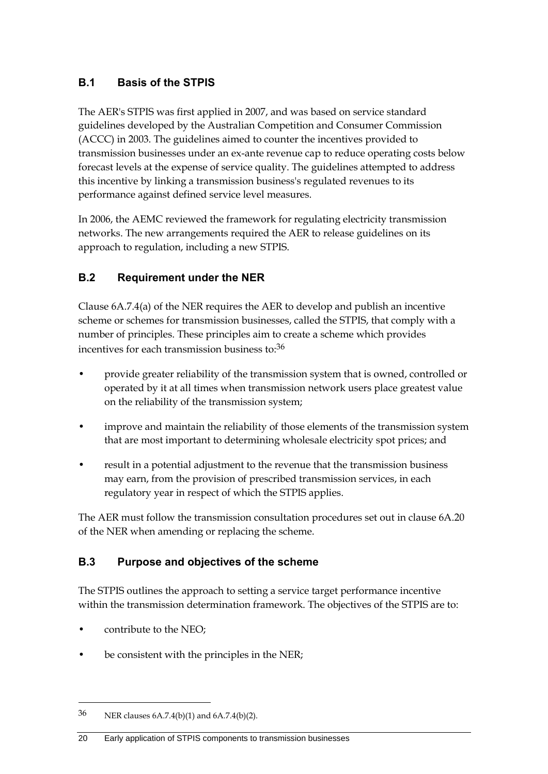### <span id="page-23-0"></span>**B.1 Basis of the STPIS**

The AER's STPIS was first applied in 2007, and was based on service standard guidelines developed by the Australian Competition and Consumer Commission (ACCC) in 2003. The guidelines aimed to counter the incentives provided to transmission businesses under an ex-ante revenue cap to reduce operating costs below forecast levels at the expense of service quality. The guidelines attempted to address this incentive by linking a transmission business's regulated revenues to its performance against defined service level measures.

In 2006, the AEMC reviewed the framework for regulating electricity transmission networks. The new arrangements required the AER to release guidelines on its approach to regulation, including a new STPIS.

### <span id="page-23-1"></span>**B.2 Requirement under the NER**

Clause 6A.7.4(a) of the NER requires the AER to develop and publish an incentive scheme or schemes for transmission businesses, called the STPIS, that comply with a number of principles. These principles aim to create a scheme which provides incentives for each transmission business to:36

- provide greater reliability of the transmission system that is owned, controlled or operated by it at all times when transmission network users place greatest value on the reliability of the transmission system;
- improve and maintain the reliability of those elements of the transmission system that are most important to determining wholesale electricity spot prices; and
- result in a potential adjustment to the revenue that the transmission business may earn, from the provision of prescribed transmission services, in each regulatory year in respect of which the STPIS applies.

The AER must follow the transmission consultation procedures set out in clause 6A.20 of the NER when amending or replacing the scheme.

### <span id="page-23-2"></span>**B.3 Purpose and objectives of the scheme**

The STPIS outlines the approach to setting a service target performance incentive within the transmission determination framework. The objectives of the STPIS are to:

• contribute to the NEO;

1

be consistent with the principles in the NER;

<sup>36</sup> NER clauses 6A.7.4(b)(1) and 6A.7.4(b)(2).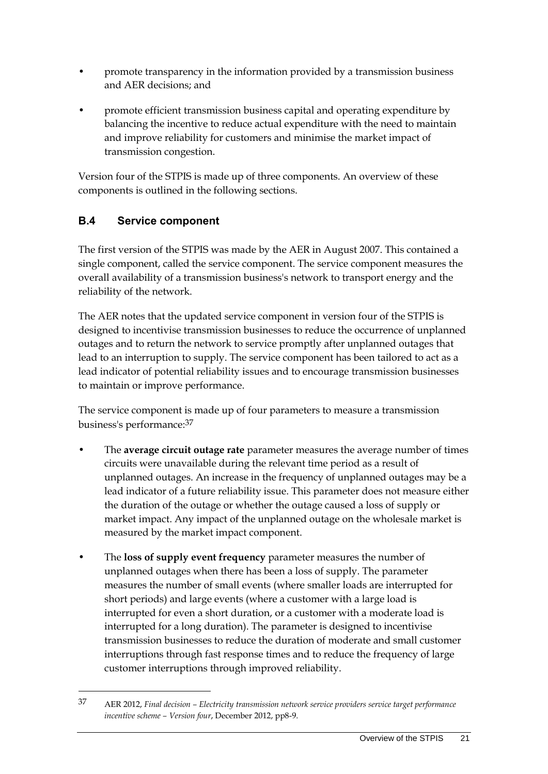- promote transparency in the information provided by a transmission business and AER decisions; and
- promote efficient transmission business capital and operating expenditure by balancing the incentive to reduce actual expenditure with the need to maintain and improve reliability for customers and minimise the market impact of transmission congestion.

Version four of the STPIS is made up of three components. An overview of these components is outlined in the following sections.

#### <span id="page-24-0"></span>**B.4 Service component**

1

The first version of the STPIS was made by the AER in August 2007. This contained a single component, called the service component. The service component measures the overall availability of a transmission business's network to transport energy and the reliability of the network.

The AER notes that the updated service component in version four of the STPIS is designed to incentivise transmission businesses to reduce the occurrence of unplanned outages and to return the network to service promptly after unplanned outages that lead to an interruption to supply. The service component has been tailored to act as a lead indicator of potential reliability issues and to encourage transmission businesses to maintain or improve performance.

The service component is made up of four parameters to measure a transmission business's performance:37

- The **average circuit outage rate** parameter measures the average number of times circuits were unavailable during the relevant time period as a result of unplanned outages. An increase in the frequency of unplanned outages may be a lead indicator of a future reliability issue. This parameter does not measure either the duration of the outage or whether the outage caused a loss of supply or market impact. Any impact of the unplanned outage on the wholesale market is measured by the market impact component.
- The **loss of supply event frequency** parameter measures the number of unplanned outages when there has been a loss of supply. The parameter measures the number of small events (where smaller loads are interrupted for short periods) and large events (where a customer with a large load is interrupted for even a short duration, or a customer with a moderate load is interrupted for a long duration). The parameter is designed to incentivise transmission businesses to reduce the duration of moderate and small customer interruptions through fast response times and to reduce the frequency of large customer interruptions through improved reliability.

<sup>37</sup> AER 2012, *Final decision – Electricity transmission network service providers service target performance incentive scheme – Version four*, December 2012, pp8-9.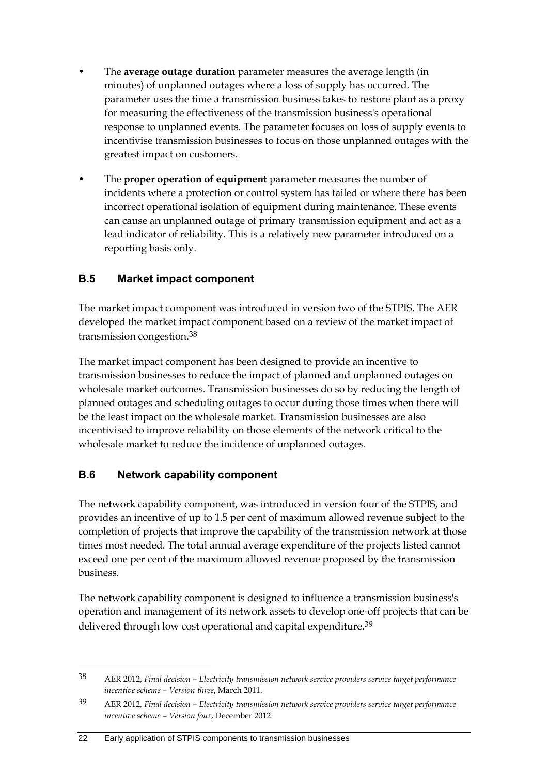- The **average outage duration** parameter measures the average length (in minutes) of unplanned outages where a loss of supply has occurred. The parameter uses the time a transmission business takes to restore plant as a proxy for measuring the effectiveness of the transmission business's operational response to unplanned events. The parameter focuses on loss of supply events to incentivise transmission businesses to focus on those unplanned outages with the greatest impact on customers.
- The **proper operation of equipment** parameter measures the number of incidents where a protection or control system has failed or where there has been incorrect operational isolation of equipment during maintenance. These events can cause an unplanned outage of primary transmission equipment and act as a lead indicator of reliability. This is a relatively new parameter introduced on a reporting basis only.

#### <span id="page-25-0"></span>**B.5 Market impact component**

The market impact component was introduced in version two of the STPIS. The AER developed the market impact component based on a review of the market impact of transmission congestion.38

The market impact component has been designed to provide an incentive to transmission businesses to reduce the impact of planned and unplanned outages on wholesale market outcomes. Transmission businesses do so by reducing the length of planned outages and scheduling outages to occur during those times when there will be the least impact on the wholesale market. Transmission businesses are also incentivised to improve reliability on those elements of the network critical to the wholesale market to reduce the incidence of unplanned outages.

#### <span id="page-25-1"></span>**B.6 Network capability component**

<u>.</u>

The network capability component, was introduced in version four of the STPIS, and provides an incentive of up to 1.5 per cent of maximum allowed revenue subject to the completion of projects that improve the capability of the transmission network at those times most needed. The total annual average expenditure of the projects listed cannot exceed one per cent of the maximum allowed revenue proposed by the transmission business.

The network capability component is designed to influence a transmission business's operation and management of its network assets to develop one-off projects that can be delivered through low cost operational and capital expenditure.<sup>39</sup>

<sup>38</sup> AER 2012, *Final decision – Electricity transmission network service providers service target performance incentive scheme – Version three*, March 2011.

<sup>39</sup> AER 2012, *Final decision – Electricity transmission network service providers service target performance incentive scheme – Version four*, December 2012.